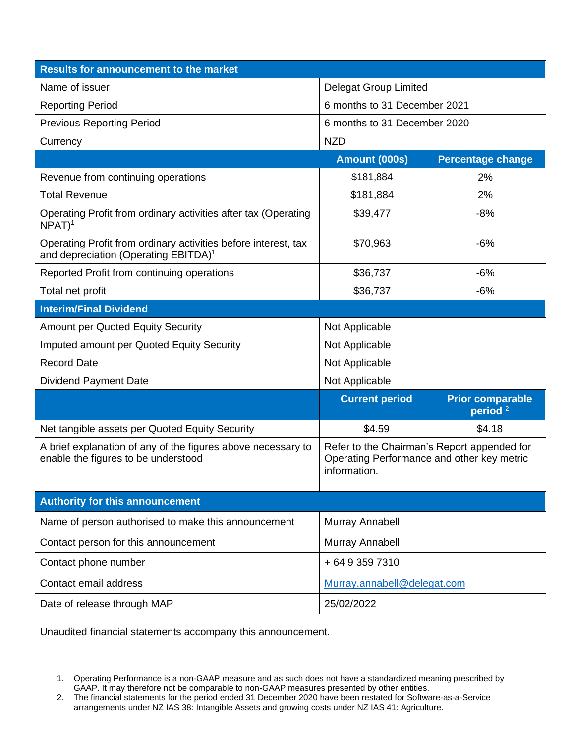| <b>Results for announcement to the market</b>                                                                      |                                                                                                           |                                       |  |
|--------------------------------------------------------------------------------------------------------------------|-----------------------------------------------------------------------------------------------------------|---------------------------------------|--|
| Name of issuer                                                                                                     | <b>Delegat Group Limited</b>                                                                              |                                       |  |
| <b>Reporting Period</b>                                                                                            | 6 months to 31 December 2021                                                                              |                                       |  |
| <b>Previous Reporting Period</b>                                                                                   | 6 months to 31 December 2020                                                                              |                                       |  |
| Currency                                                                                                           | <b>NZD</b>                                                                                                |                                       |  |
|                                                                                                                    | Amount (000s)                                                                                             | <b>Percentage change</b>              |  |
| Revenue from continuing operations                                                                                 | \$181,884                                                                                                 | 2%                                    |  |
| <b>Total Revenue</b>                                                                                               | \$181,884                                                                                                 | 2%                                    |  |
| Operating Profit from ordinary activities after tax (Operating<br>$NPAT$ <sup>1</sup>                              | \$39,477                                                                                                  | $-8%$                                 |  |
| Operating Profit from ordinary activities before interest, tax<br>and depreciation (Operating EBITDA) <sup>1</sup> | \$70,963                                                                                                  | $-6%$                                 |  |
| Reported Profit from continuing operations                                                                         | \$36,737                                                                                                  | $-6%$                                 |  |
| Total net profit                                                                                                   | \$36,737                                                                                                  | $-6%$                                 |  |
| <b>Interim/Final Dividend</b>                                                                                      |                                                                                                           |                                       |  |
| <b>Amount per Quoted Equity Security</b>                                                                           | Not Applicable                                                                                            |                                       |  |
| Imputed amount per Quoted Equity Security                                                                          | Not Applicable                                                                                            |                                       |  |
| <b>Record Date</b>                                                                                                 | Not Applicable                                                                                            |                                       |  |
| <b>Dividend Payment Date</b>                                                                                       | Not Applicable                                                                                            |                                       |  |
|                                                                                                                    | <b>Current period</b>                                                                                     | <b>Prior comparable</b><br>period $2$ |  |
| Net tangible assets per Quoted Equity Security                                                                     | \$4.59                                                                                                    | \$4.18                                |  |
| A brief explanation of any of the figures above necessary to<br>enable the figures to be understood                | Refer to the Chairman's Report appended for<br>Operating Performance and other key metric<br>information. |                                       |  |
| <b>Authority for this announcement</b>                                                                             |                                                                                                           |                                       |  |
| Name of person authorised to make this announcement                                                                | Murray Annabell                                                                                           |                                       |  |
| Contact person for this announcement                                                                               | Murray Annabell                                                                                           |                                       |  |
| Contact phone number                                                                                               | +6493597310                                                                                               |                                       |  |
| Contact email address                                                                                              | Murray.annabell@delegat.com                                                                               |                                       |  |
| Date of release through MAP                                                                                        | 25/02/2022                                                                                                |                                       |  |

Unaudited financial statements accompany this announcement.

<sup>1.</sup> Operating Performance is a non-GAAP measure and as such does not have a standardized meaning prescribed by GAAP. It may therefore not be comparable to non-GAAP measures presented by other entities.

<sup>2.</sup> The financial statements for the period ended 31 December 2020 have been restated for Software-as-a-Service arrangements under NZ IAS 38: Intangible Assets and growing costs under NZ IAS 41: Agriculture.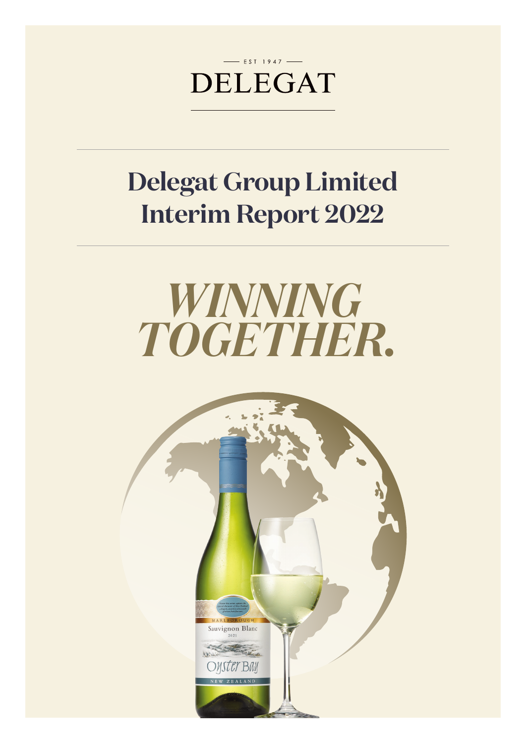

# **Delegat Group Limited Interim Report 2022**



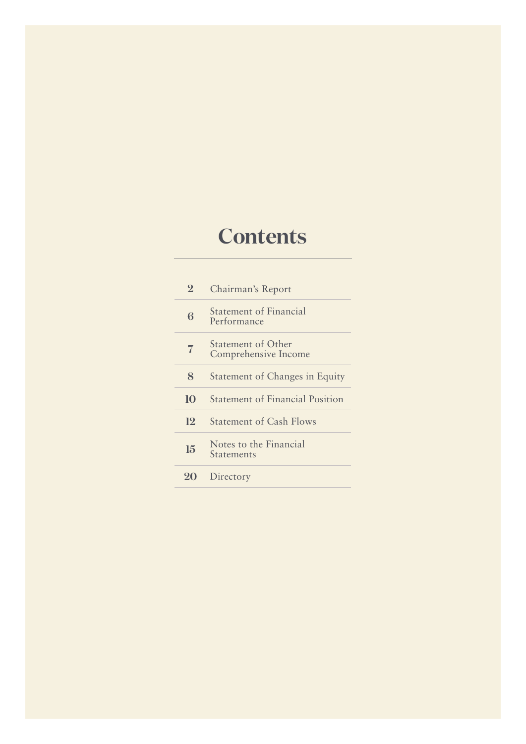# **Contents**

| $\overline{2}$ | Chairman's Report                                 |
|----------------|---------------------------------------------------|
| 6              | <b>Statement of Financial</b><br>Performance      |
| 7              | <b>Statement of Other</b><br>Comprehensive Income |
| 8              | Statement of Changes in Equity                    |
| 10             | <b>Statement of Financial Position</b>            |
| 12             | <b>Statement of Cash Flows</b>                    |
| 15             | Notes to the Financial<br><b>Statements</b>       |
| $20 \sigma$    | Directory                                         |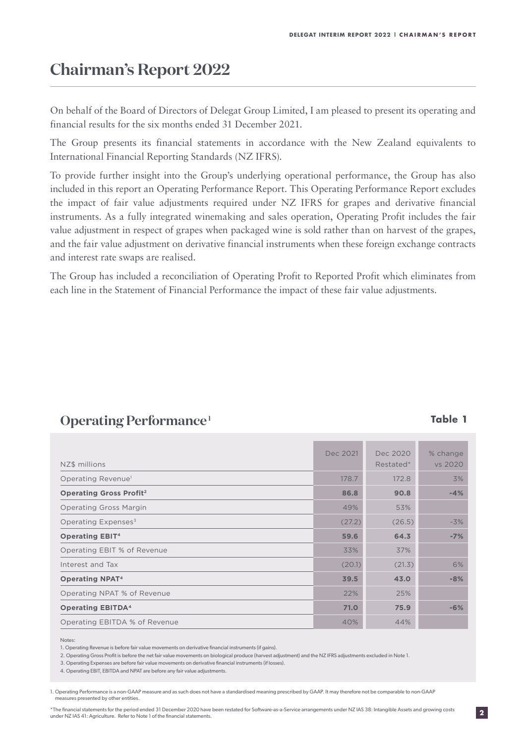## **Chairman's Report 2022**

On behalf of the Board of Directors of Delegat Group Limited, I am pleased to present its operating and financial results for the six months ended 31 December 2021.

The Group presents its financial statements in accordance with the New Zealand equivalents to International Financial Reporting Standards (NZ IFRS).

To provide further insight into the Group's underlying operational performance, the Group has also included in this report an Operating Performance Report. This Operating Performance Report excludes the impact of fair value adjustments required under NZ IFRS for grapes and derivative financial instruments. As a fully integrated winemaking and sales operation, Operating Profit includes the fair value adjustment in respect of grapes when packaged wine is sold rather than on harvest of the grapes, and the fair value adjustment on derivative financial instruments when these foreign exchange contracts and interest rate swaps are realised.

The Group has included a reconciliation of Operating Profit to Reported Profit which eliminates from each line in the Statement of Financial Performance the impact of these fair value adjustments.

| NZ\$ millions                             | Dec 2021 | Dec 2020<br>Restated* | % change<br>vs 2020 |
|-------------------------------------------|----------|-----------------------|---------------------|
| Operating Revenue <sup>1</sup>            | 178.7    | 172.8                 | 3%                  |
| <b>Operating Gross Profit<sup>2</sup></b> | 86.8     | 90.8                  | $-4%$               |
| <b>Operating Gross Margin</b>             | 49%      | 53%                   |                     |
| Operating Expenses <sup>3</sup>           | (27.2)   | (26.5)                | $-3%$               |
| <b>Operating EBIT<sup>4</sup></b>         | 59.6     | 64.3                  | $-7%$               |
| Operating EBIT % of Revenue               | 33%      | 37%                   |                     |
| Interest and Tax                          | (20.1)   | (21.3)                | 6%                  |
| <b>Operating NPAT<sup>4</sup></b>         | 39.5     | 43.0                  | $-8%$               |
| Operating NPAT % of Revenue               | 22%      | 25%                   |                     |
| <b>Operating EBITDA4</b>                  | 71.0     | 75.9                  | $-6%$               |
| Operating EBITDA % of Revenue             | 40%      | 44%                   |                     |

### **Operating Performance**<sup>1</sup> **Table 1**

#### Notes:

1. Operating Revenue is before fair value movements on derivative financial instruments (if gains).

2. Operating Gross Profit is before the net fair value movements on biological produce (harvest adjustment) and the NZ IFRS adjustments excluded in Note 1.

3. Operating Expenses are before fair value movements on derivative financial instruments (if losses).

1. Operating Performance is a non-GAAP measure and as such does not have a standardised meaning prescribed by GAAP. It may therefore not be comparable to non-GAAP measures presented by other entities.

**2**

<sup>4.</sup> Operating EBIT, EBITDA and NPAT are before any fair value adjustments.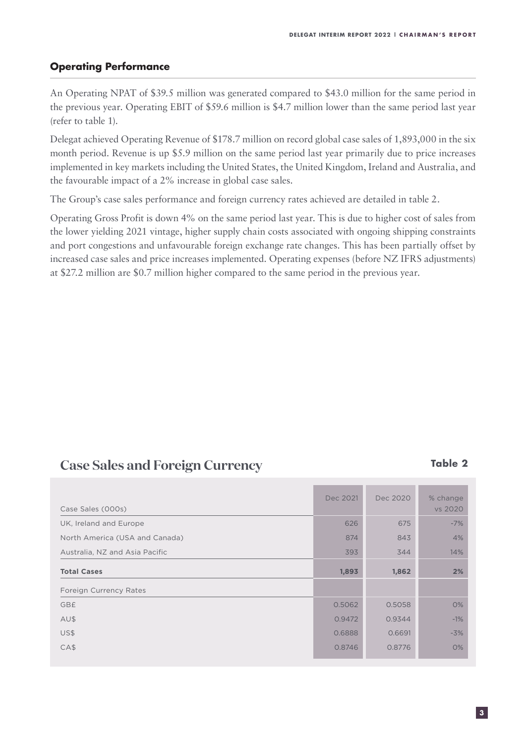### **Operating Performance**

An Operating NPAT of \$39.5 million was generated compared to \$43.0 million for the same period in the previous year. Operating EBIT of \$59.6 million is \$4.7 million lower than the same period last year (refer to table 1).

Delegat achieved Operating Revenue of \$178.7 million on record global case sales of 1,893,000 in the six month period. Revenue is up \$5.9 million on the same period last year primarily due to price increases implemented in key markets including the United States, the United Kingdom, Ireland and Australia, and the favourable impact of a 2% increase in global case sales.

The Group's case sales performance and foreign currency rates achieved are detailed in table 2.

Operating Gross Profit is down 4% on the same period last year. This is due to higher cost of sales from the lower yielding 2021 vintage, higher supply chain costs associated with ongoing shipping constraints and port congestions and unfavourable foreign exchange rate changes. This has been partially offset by increased case sales and price increases implemented. Operating expenses (before NZ IFRS adjustments) at \$27.2 million are \$0.7 million higher compared to the same period in the previous year.

### **Case Sales and Foreign Currency <b>Table 2** Table 2

| Case Sales (000s)              | Dec 2021 | Dec 2020 | % change<br>vs 2020 |
|--------------------------------|----------|----------|---------------------|
| UK, Ireland and Europe         | 626      | 675      | $-7%$               |
| North America (USA and Canada) | 874      | 843      | 4%                  |
| Australia, NZ and Asia Pacific | 393      | 344      | 14%                 |
| <b>Total Cases</b>             | 1,893    | 1,862    | 2%                  |
| Foreign Currency Rates         |          |          |                     |
| GB£                            | 0.5062   | 0.5058   | 0%                  |
| AU\$                           | 0.9472   | 0.9344   | $-1%$               |
| US\$                           | 0.6888   | 0.6691   | $-3%$               |
| CAS                            | 0.8746   | 0.8776   | 0%                  |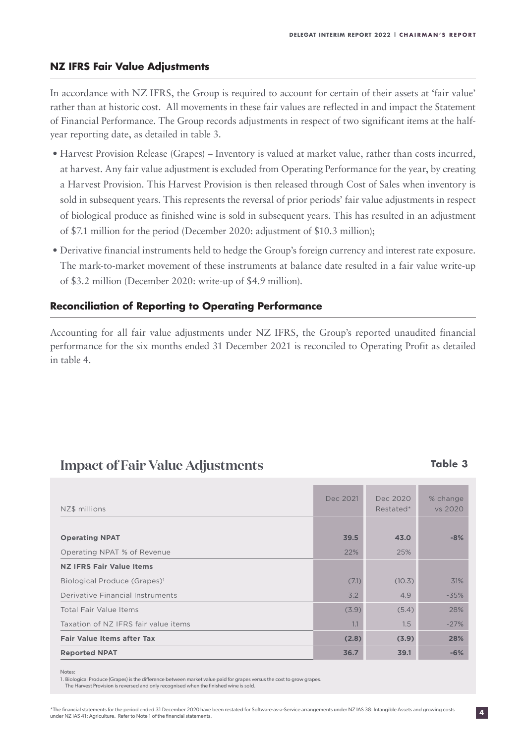#### **NZ IFRS Fair Value Adjustments**

In accordance with NZ IFRS, the Group is required to account for certain of their assets at 'fair value' rather than at historic cost. All movements in these fair values are reflected in and impact the Statement of Financial Performance. The Group records adjustments in respect of two significant items at the halfyear reporting date, as detailed in table 3.

- Harvest Provision Release (Grapes) Inventory is valued at market value, rather than costs incurred, at harvest. Any fair value adjustment is excluded from Operating Performance for the year, by creating a Harvest Provision. This Harvest Provision is then released through Cost of Sales when inventory is sold in subsequent years. This represents the reversal of prior periods' fair value adjustments in respect of biological produce as finished wine is sold in subsequent years. This has resulted in an adjustment of \$7.1 million for the period (December 2020: adjustment of \$10.3 million);
- Derivative financial instruments held to hedge the Group's foreign currency and interest rate exposure. The mark-to-market movement of these instruments at balance date resulted in a fair value write-up of \$3.2 million (December 2020: write-up of \$4.9 million).

#### **Reconciliation of Reporting to Operating Performance**

Accounting for all fair value adjustments under NZ IFRS, the Group's reported unaudited financial performance for the six months ended 31 December 2021 is reconciled to Operating Profit as detailed in table 4.

### **Impact of Fair Value Adjustments Table 3**

| NZ\$ millions                            | Dec 2021 | Dec 2020<br>Restated* | % change<br>vs 2020 |
|------------------------------------------|----------|-----------------------|---------------------|
|                                          |          |                       |                     |
| <b>Operating NPAT</b>                    | 39.5     | 43.0                  | $-8%$               |
| Operating NPAT % of Revenue              | 22%      | 25%                   |                     |
| <b>NZ IFRS Fair Value Items</b>          |          |                       |                     |
| Biological Produce (Grapes) <sup>1</sup> | (7.1)    | (10.3)                | 31%                 |
| Derivative Financial Instruments         | 3.2      | 4.9                   | $-35%$              |
| Total Fair Value Items                   | (3.9)    | (5.4)                 | 28%                 |
| Taxation of NZ IFRS fair value items     | 1.1      | 1.5                   | $-27%$              |
| <b>Fair Value Items after Tax</b>        | (2.8)    | (3.9)                 | 28%                 |
| <b>Reported NPAT</b>                     | 36.7     | 39.1                  | $-6%$               |

Notes:

1. Biological Produce (Grapes) is the difference between market value paid for grapes versus the cost to grow grapes.

The Harvest Provision is reversed and only recognised when the finished wine is sold.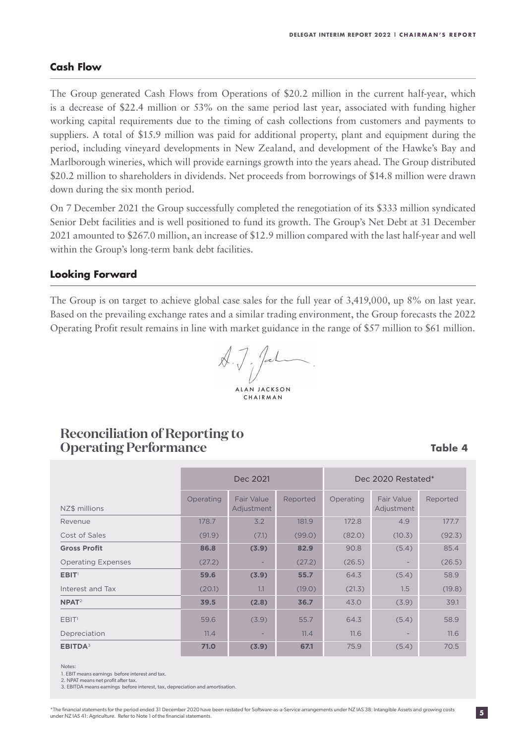#### **Cash Flow**

The Group generated Cash Flows from Operations of \$20.2 million in the current half-year, which is a decrease of \$22.4 million or 53% on the same period last year, associated with funding higher working capital requirements due to the timing of cash collections from customers and payments to suppliers. A total of \$15.9 million was paid for additional property, plant and equipment during the period, including vineyard developments in New Zealand, and development of the Hawke's Bay and Marlborough wineries, which will provide earnings growth into the years ahead. The Group distributed \$20.2 million to shareholders in dividends. Net proceeds from borrowings of \$14.8 million were drawn down during the six month period.

On 7 December 2021 the Group successfully completed the renegotiation of its \$333 million syndicated Senior Debt facilities and is well positioned to fund its growth. The Group's Net Debt at 31 December 2021 amounted to \$267.0 million, an increase of \$12.9 million compared with the last half-year and well within the Group's long-term bank debt facilities.

#### **Looking Forward**

The Group is on target to achieve global case sales for the full year of 3,419,000, up 8% on last year. Based on the prevailing exchange rates and a similar trading environment, the Group forecasts the 2022 Operating Profit result remains in line with market guidance in the range of \$57 million to \$61 million.

 $\overline{\mathcal{A}}$ .  $\overline{\mathcal{J}}$ . Jal ALAN JACKSON CHAIRMAN

### **Reconciliation of Reporting to Operating Performance**

**Table 4**

|                           |           | Dec 2021                        |          | Dec 2020 Restated* |                          |          |
|---------------------------|-----------|---------------------------------|----------|--------------------|--------------------------|----------|
| NZ\$ millions             | Operating | <b>Fair Value</b><br>Adjustment | Reported | Operating          | Fair Value<br>Adjustment | Reported |
| Revenue                   | 178.7     | 3.2                             | 181.9    | 172.8              | 4.9                      | 177.7    |
| Cost of Sales             | (91.9)    | (7.1)                           | (99.0)   | (82.0)             | (10.3)                   | (92.3)   |
| <b>Gross Profit</b>       | 86.8      | (3.9)                           | 82.9     | 90.8               | (5.4)                    | 85.4     |
| <b>Operating Expenses</b> | (27.2)    | $\overline{\phantom{0}}$        | (27.2)   | (26.5)             |                          | (26.5)   |
| EBIT <sup>1</sup>         | 59.6      | (3.9)                           | 55.7     | 64.3               | (5.4)                    | 58.9     |
| Interest and Tax          | (20.1)    | 1.1                             | (19.0)   | (21.3)             | 1.5                      | (19.8)   |
| $N$ PAT <sup>2</sup>      | 39.5      | (2.8)                           | 36.7     | 43.0               | (3.9)                    | 39.1     |
| EBIT <sup>1</sup>         | 59.6      | (3.9)                           | 55.7     | 64.3               | (5.4)                    | 58.9     |
| Depreciation              | 11.4      |                                 | 11.4     | 11.6               |                          | 11.6     |
| EBITDA <sup>3</sup>       | 71.0      | (3.9)                           | 67.1     | 75.9               | (5.4)                    | 70.5     |

#### Notes:

1. EBIT means earnings before interest and tax.

2. NPAT means net profit after tax. 3. EBITDA means earnings before interest, tax, depreciation and amortisation.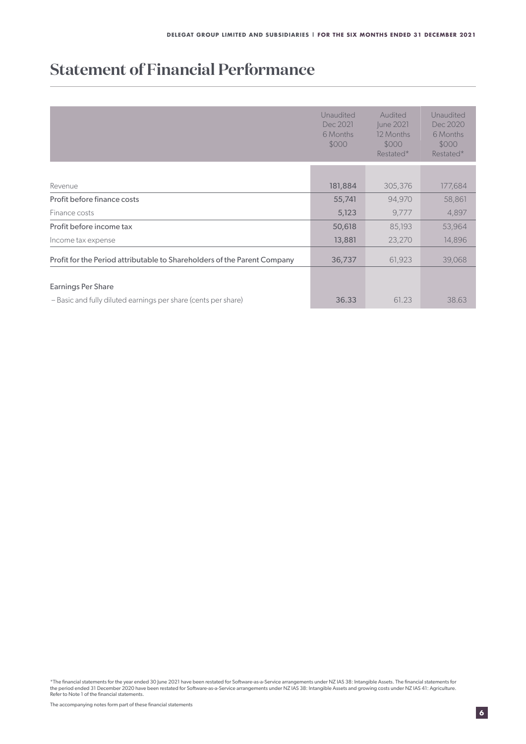## **Statement of Financial Performance**

|                                                                          | Unaudited<br>Dec 2021<br>6 Months<br>\$000 | Audited<br>June 2021<br>12 Months<br>\$000<br>Restated* | Unaudited<br>Dec 2020<br>6 Months<br>\$000<br>Restated* |
|--------------------------------------------------------------------------|--------------------------------------------|---------------------------------------------------------|---------------------------------------------------------|
|                                                                          |                                            |                                                         |                                                         |
| Revenue                                                                  | 181,884                                    | 305,376                                                 | 177,684                                                 |
| Profit before finance costs                                              | 55,741                                     | 94,970                                                  | 58,861                                                  |
| Finance costs                                                            | 5,123                                      | 9,777                                                   | 4,897                                                   |
| Profit before income tax                                                 | 50,618                                     | 85,193                                                  | 53,964                                                  |
| Income tax expense                                                       | 13,881                                     | 23,270                                                  | 14,896                                                  |
| Profit for the Period attributable to Shareholders of the Parent Company | 36,737                                     | 61,923                                                  | 39,068                                                  |
|                                                                          |                                            |                                                         |                                                         |
| Earnings Per Share                                                       |                                            |                                                         |                                                         |
| - Basic and fully diluted earnings per share (cents per share)           | 36.33                                      | 61.23                                                   | 38.63                                                   |

\*The financial statements for the year ended 30 June 2021 have been restated for Software-as-a-Service arrangements under NZ IAS 38: Intangible Assets. The financial statements for<br>the period ended 31 December 2020 have be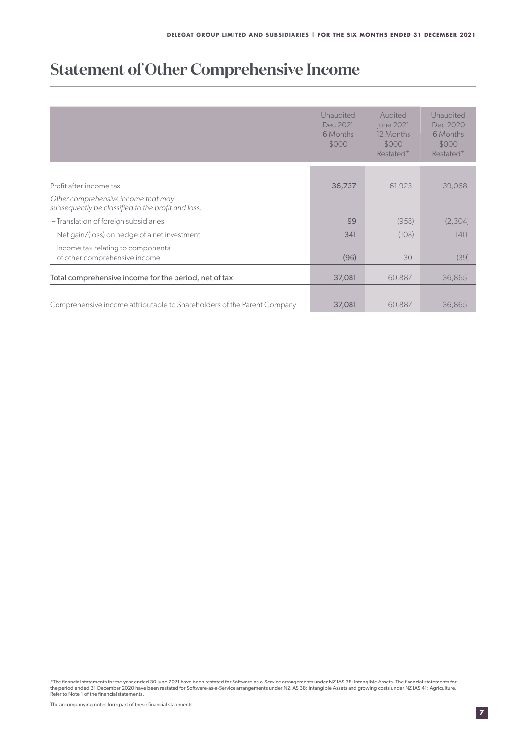### **Statement of Other Comprehensive Income**

|                                                                                           | Unaudited<br>Dec 2021<br>6 Months<br>\$000 | Audited<br>June 2021<br>12 Months<br>\$000<br>Restated* | Unaudited<br>Dec 2020<br>6 Months<br>\$000<br>Restated* |
|-------------------------------------------------------------------------------------------|--------------------------------------------|---------------------------------------------------------|---------------------------------------------------------|
|                                                                                           |                                            |                                                         |                                                         |
| Profit after income tax                                                                   | 36,737                                     | 61,923                                                  | 39,068                                                  |
| Other comprehensive income that may<br>subsequently be classified to the profit and loss: |                                            |                                                         |                                                         |
| - Translation of foreign subsidiaries                                                     | 99                                         | (958)                                                   | (2,304)                                                 |
| $-$ Net gain/(loss) on hedge of a net investment                                          | 341                                        | (108)                                                   | 140                                                     |
| - Income tax relating to components<br>of other comprehensive income                      | (96)                                       | 30                                                      | (39)                                                    |
| Total comprehensive income for the period, net of tax                                     | 37,081                                     | 60,887                                                  | 36,865                                                  |
| Comprehensive income attributable to Shareholders of the Parent Company                   | 37,081                                     | 60,887                                                  | 36,865                                                  |

\*The financial statements for the year ended 30 June 2021 have been restated for Software-as-a-Service arrangements under NZ IAS 38: Intangible Assets. The financial statements for<br>the period ended 31 December 2020 have be Refer to Note 1 of the financial statements.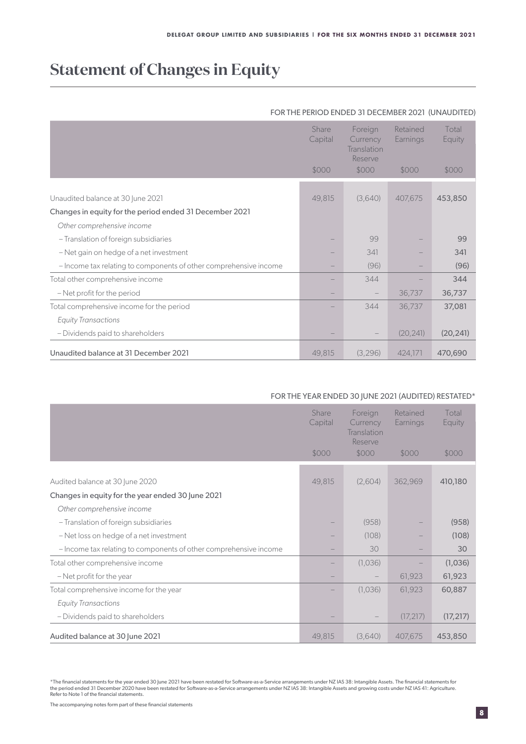## **Statement of Changes in Equity**

#### FOR THE PERIOD ENDED 31 DECEMBER 2021 (UNAUDITED)

|                                                                   | Share<br>Capital<br>\$000 | Foreign<br>Currency<br>Translation<br>Reserve<br>\$000 | Retained<br>Earnings<br>\$000 | Total<br>Equity<br>\$000 |
|-------------------------------------------------------------------|---------------------------|--------------------------------------------------------|-------------------------------|--------------------------|
|                                                                   |                           |                                                        |                               |                          |
| Unaudited balance at 30 June 2021                                 | 49,815                    | (3,640)                                                | 407,675                       | 453,850                  |
| Changes in equity for the period ended 31 December 2021           |                           |                                                        |                               |                          |
| Other comprehensive income                                        |                           |                                                        |                               |                          |
| - Translation of foreign subsidiaries                             |                           | 99                                                     |                               | 99                       |
| - Net gain on hedge of a net investment                           |                           | 341                                                    |                               | 341                      |
| - Income tax relating to components of other comprehensive income |                           | (96)                                                   |                               | (96)                     |
| Total other comprehensive income                                  |                           | 344                                                    |                               | 344                      |
| - Net profit for the period                                       |                           | $\qquad \qquad -$                                      | 36,737                        | 36,737                   |
| Total comprehensive income for the period                         |                           | 344                                                    | 36,737                        | 37,081                   |
| <b>Equity Transactions</b>                                        |                           |                                                        |                               |                          |
| - Dividends paid to shareholders                                  |                           |                                                        | (20, 241)                     | (20, 241)                |
| Unaudited balance at 31 December 2021                             | 49,815                    | (3,296)                                                | 424,171                       | 470,690                  |

#### FOR THE YEAR ENDED 30 JUNE 2021 (AUDITED) RESTATED\*

|                                                                   | Share<br>Capital | Foreign<br>Currency<br>Translation<br>Reserve | Retained<br>Earnings | Total<br>Equity |
|-------------------------------------------------------------------|------------------|-----------------------------------------------|----------------------|-----------------|
|                                                                   | \$000            | \$000                                         | \$000                | \$000           |
|                                                                   |                  |                                               |                      |                 |
| Audited balance at 30 June 2020                                   | 49,815           | (2,604)                                       | 362,969              | 410,180         |
| Changes in equity for the year ended 30 June 2021                 |                  |                                               |                      |                 |
| Other comprehensive income                                        |                  |                                               |                      |                 |
| - Translation of foreign subsidiaries                             |                  | (958)                                         |                      | (958)           |
| - Net loss on hedge of a net investment                           |                  | (108)                                         |                      | (108)           |
| - Income tax relating to components of other comprehensive income |                  | 30                                            |                      | 30              |
| Total other comprehensive income                                  |                  | (1,036)                                       |                      | (1,036)         |
| - Net profit for the year                                         |                  |                                               | 61,923               | 61,923          |
| Total comprehensive income for the year                           |                  | (1,036)                                       | 61,923               | 60,887          |
| <b>Equity Transactions</b>                                        |                  |                                               |                      |                 |
| - Dividends paid to shareholders                                  |                  |                                               | (17, 217)            | (17, 217)       |
| Audited balance at 30 June 2021                                   | 49,815           | (3,640)                                       | 407,675              | 453,850         |

<sup>\*</sup>The financial statements for the year ended 30 June 2021 have been restated for Software-as-a-Service arrangements under NZ IAS 38: Intangible Assets. The financial statements for<br>the period ended 31 December 2020 have be Refer to Note 1 of the financial statements.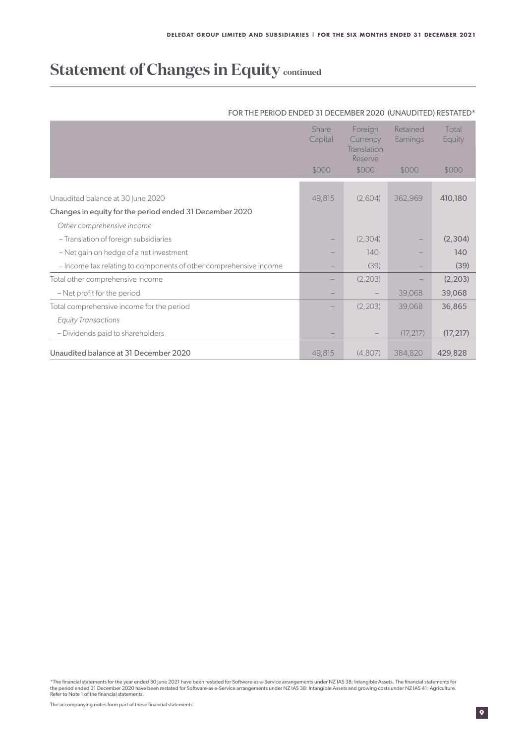### **Statement of Changes in Equity continued**

|                                                                   | Share<br>Capital | Foreign<br>Currency<br>Translation<br>Reserve | Retained<br>Earnings | Total<br>Equity |
|-------------------------------------------------------------------|------------------|-----------------------------------------------|----------------------|-----------------|
|                                                                   | \$000            | \$000                                         | \$000                | \$000           |
|                                                                   |                  |                                               |                      |                 |
| Unaudited balance at 30 June 2020                                 | 49,815           | (2,604)                                       | 362,969              | 410,180         |
| Changes in equity for the period ended 31 December 2020           |                  |                                               |                      |                 |
| Other comprehensive income                                        |                  |                                               |                      |                 |
| - Translation of foreign subsidiaries                             |                  | (2,304)                                       |                      | (2,304)         |
| - Net gain on hedge of a net investment                           |                  | 140                                           |                      | 140             |
| - Income tax relating to components of other comprehensive income |                  | (39)                                          |                      | (39)            |
| Total other comprehensive income                                  |                  | (2, 203)                                      |                      | (2, 203)        |
| - Net profit for the period                                       |                  |                                               | 39,068               | 39,068          |
| Total comprehensive income for the period                         |                  | (2,203)                                       | 39,068               | 36,865          |
| <b>Equity Transactions</b>                                        |                  |                                               |                      |                 |
| - Dividends paid to shareholders                                  |                  |                                               | (17, 217)            | (17, 217)       |
| Unaudited balance at 31 December 2020                             | 49,815           | (4,807)                                       | 384,820              | 429,828         |

#### FOR THE PERIOD ENDED 31 DECEMBER 2020 (UNAUDITED) RESTATED\*

\*The financial statements for the year ended 30 June 2021 have been restated for Software-as-a-Service arrangements under NZ IAS 38: Intangible Assets. The financial statements for<br>the period ended 31 December 2020 have be Refer to Note 1 of the financial statements.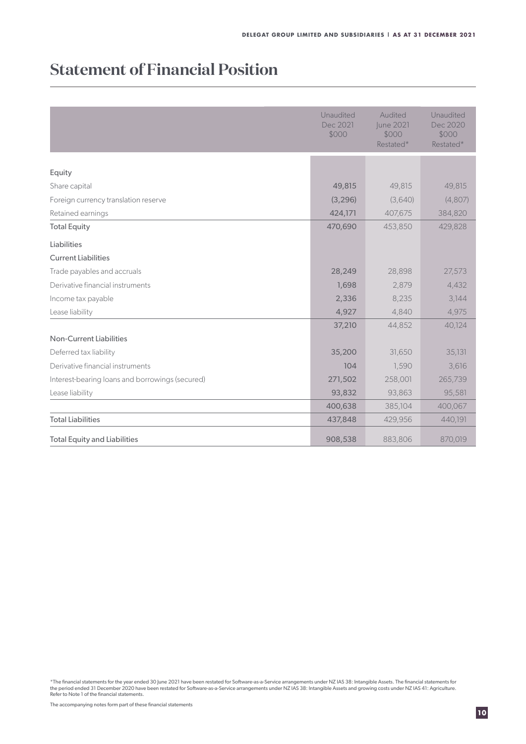## **Statement of Financial Position**

|                                                 | Unaudited<br>Dec 2021<br>\$000 | Audited<br>June 2021<br>\$000<br>Restated* | Unaudited<br>Dec 2020<br>\$000<br>Restated* |
|-------------------------------------------------|--------------------------------|--------------------------------------------|---------------------------------------------|
|                                                 |                                |                                            |                                             |
| Equity                                          |                                |                                            |                                             |
| Share capital                                   | 49,815                         | 49,815                                     | 49,815                                      |
| Foreign currency translation reserve            | (3, 296)                       | (3,640)                                    | (4,807)                                     |
| Retained earnings                               | 424,171                        | 407,675                                    | 384,820                                     |
| <b>Total Equity</b>                             | 470,690                        | 453,850                                    | 429,828                                     |
| Liabilities                                     |                                |                                            |                                             |
| <b>Current Liabilities</b>                      |                                |                                            |                                             |
| Trade payables and accruals                     | 28,249                         | 28,898                                     | 27,573                                      |
| Derivative financial instruments                | 1,698                          | 2,879                                      | 4,432                                       |
| Income tax payable                              | 2,336                          | 8,235                                      | 3,144                                       |
| Lease liability                                 | 4,927                          | 4,840                                      | 4,975                                       |
|                                                 | 37,210                         | 44,852                                     | 40,124                                      |
| <b>Non-Current Liabilities</b>                  |                                |                                            |                                             |
| Deferred tax liability                          | 35,200                         | 31,650                                     | 35,131                                      |
| Derivative financial instruments                | 104                            | 1,590                                      | 3,616                                       |
| Interest-bearing loans and borrowings (secured) | 271,502                        | 258,001                                    | 265,739                                     |
| Lease liability                                 | 93,832                         | 93,863                                     | 95,581                                      |
|                                                 | 400,638                        | 385,104                                    | 400,067                                     |
| <b>Total Liabilities</b>                        | 437,848                        | 429,956                                    | 440,191                                     |
| <b>Total Equity and Liabilities</b>             | 908,538                        | 883,806                                    | 870,019                                     |

\*The financial statements for the year ended 30 June 2021 have been restated for Software-as-a-Service arrangements under NZ IAS 38: Intangible Assets. The financial statements for<br>the period ended 31 December 2020 have be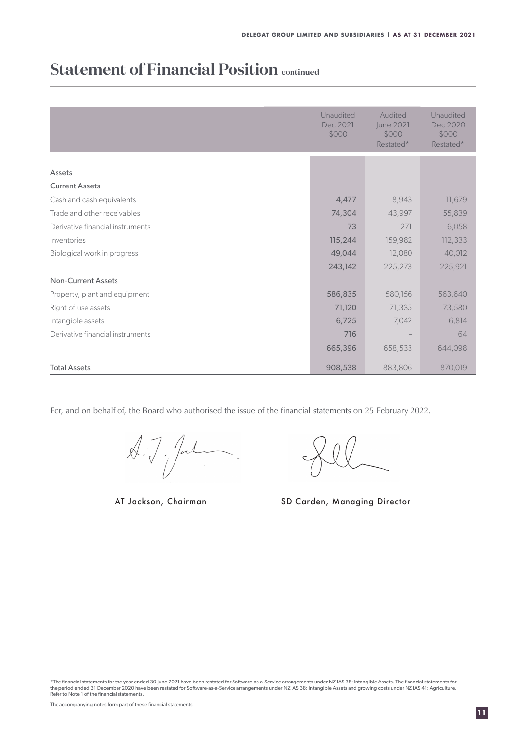### **Statement of Financial Position continued**

|                                  | Unaudited<br>Dec 2021<br>\$000 | Audited<br>June 2021<br>\$000<br>Restated* | Unaudited<br>Dec 2020<br>\$000<br>Restated* |
|----------------------------------|--------------------------------|--------------------------------------------|---------------------------------------------|
|                                  |                                |                                            |                                             |
| Assets<br><b>Current Assets</b>  |                                |                                            |                                             |
| Cash and cash equivalents        | 4,477                          | 8,943                                      | 11,679                                      |
| Trade and other receivables      | 74,304                         | 43,997                                     | 55,839                                      |
| Derivative financial instruments | 73                             | 271                                        | 6,058                                       |
| Inventories                      | 115,244                        | 159,982                                    | 112,333                                     |
| Biological work in progress      | 49,044                         | 12,080                                     | 40,012                                      |
|                                  | 243,142                        | 225,273                                    | 225,921                                     |
| <b>Non-Current Assets</b>        |                                |                                            |                                             |
| Property, plant and equipment    | 586,835                        | 580,156                                    | 563,640                                     |
| Right-of-use assets              | 71,120                         | 71,335                                     | 73,580                                      |
| Intangible assets                | 6,725                          | 7,042                                      | 6,814                                       |
| Derivative financial instruments | 716                            |                                            | 64                                          |
|                                  | 665,396                        | 658,533                                    | 644,098                                     |
| <b>Total Assets</b>              | 908,538                        | 883,806                                    | 870,019                                     |

For, and on behalf of, the Board who authorised the issue of the financial statements on 25 February 2022.

 $x.7.7$ 

AT Jackson, Chairman

SD Carden, Managing Director

\*The financial statements for the year ended 30 June 2021 have been restated for Software-as-a-Service arrangements under NZ IAS 38: Intangible Assets. The financial statements for<br>the period ended 31 December 2020 have be Refer to Note 1 of the financial statements.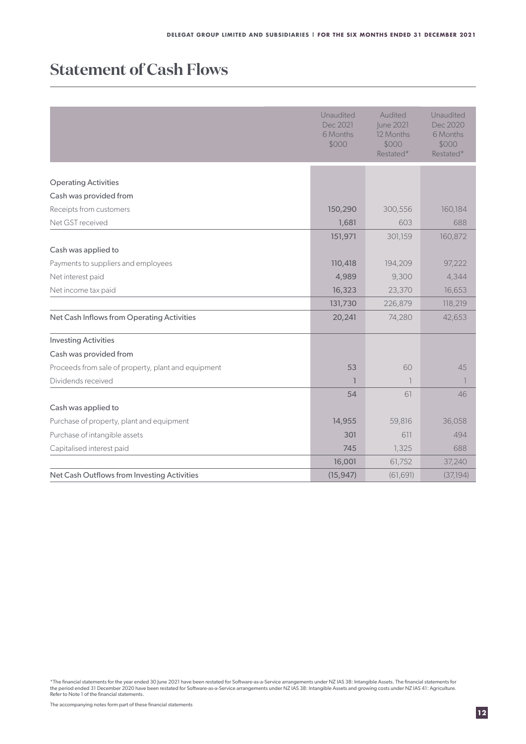### **Statement of Cash Flows**

|                                                     | Unaudited<br>Dec 2021<br>6 Months<br>\$000 | Audited<br>June 2021<br>12 Months<br>\$000<br>Restated* | Unaudited<br>Dec 2020<br>6 Months<br>\$000<br>Restated* |
|-----------------------------------------------------|--------------------------------------------|---------------------------------------------------------|---------------------------------------------------------|
| <b>Operating Activities</b>                         |                                            |                                                         |                                                         |
| Cash was provided from                              |                                            |                                                         |                                                         |
| Receipts from customers                             | 150,290                                    | 300,556                                                 | 160,184                                                 |
| Net GST received                                    | 1,681                                      | 603                                                     | 688                                                     |
|                                                     | 151,971                                    | 301,159                                                 | 160,872                                                 |
| Cash was applied to                                 |                                            |                                                         |                                                         |
| Payments to suppliers and employees                 | 110,418                                    | 194,209                                                 | 97,222                                                  |
| Net interest paid                                   | 4,989                                      | 9,300                                                   | 4,344                                                   |
| Net income tax paid                                 | 16,323                                     | 23,370                                                  | 16,653                                                  |
|                                                     | 131,730                                    | 226,879                                                 | 118,219                                                 |
| Net Cash Inflows from Operating Activities          | 20,241                                     | 74,280                                                  | 42,653                                                  |
| <b>Investing Activities</b>                         |                                            |                                                         |                                                         |
| Cash was provided from                              |                                            |                                                         |                                                         |
| Proceeds from sale of property, plant and equipment | 53                                         | 60                                                      | 45                                                      |
| Dividends received                                  | $\overline{1}$                             | $\overline{1}$                                          | -1                                                      |
|                                                     | 54                                         | 61                                                      | 46                                                      |
| Cash was applied to                                 |                                            |                                                         |                                                         |
| Purchase of property, plant and equipment           | 14,955                                     | 59,816                                                  | 36,058                                                  |
| Purchase of intangible assets                       | 301                                        | 611                                                     | 494                                                     |
| Capitalised interest paid                           | 745                                        | 1,325                                                   | 688                                                     |
|                                                     | 16,001                                     | 61,752                                                  | 37,240                                                  |
| Net Cash Outflows from Investing Activities         | (15, 947)                                  | (61, 691)                                               | (37, 194)                                               |

\*The financial statements for the year ended 30 June 2021 have been restated for Software-as-a-Service arrangements under NZ IAS 38: Intangible Assets. The financial statements for<br>the period ended 31 December 2020 have be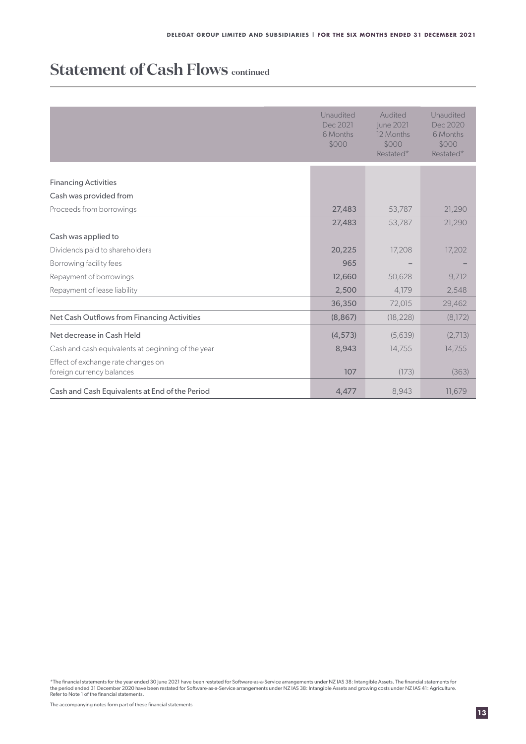### **Statement of Cash Flows continued**

|                                                    | Unaudited<br>Dec 2021<br>6 Months<br>\$000 | Audited<br><b>June 2021</b><br>12 Months<br>\$000<br>Restated* | Unaudited<br>Dec 2020<br>6 Months<br>\$000<br>Restated* |
|----------------------------------------------------|--------------------------------------------|----------------------------------------------------------------|---------------------------------------------------------|
|                                                    |                                            |                                                                |                                                         |
| <b>Financing Activities</b>                        |                                            |                                                                |                                                         |
| Cash was provided from                             |                                            |                                                                |                                                         |
| Proceeds from borrowings                           | 27,483                                     | 53,787                                                         | 21,290                                                  |
|                                                    | 27,483                                     | 53,787                                                         | 21,290                                                  |
| Cash was applied to                                |                                            |                                                                |                                                         |
| Dividends paid to shareholders                     | 20,225                                     | 17,208                                                         | 17,202                                                  |
| Borrowing facility fees                            | 965                                        |                                                                |                                                         |
| Repayment of borrowings                            | 12,660                                     | 50,628                                                         | 9,712                                                   |
| Repayment of lease liability                       | 2,500                                      | 4,179                                                          | 2,548                                                   |
|                                                    | 36,350                                     | 72,015                                                         | 29,462                                                  |
| Net Cash Outflows from Financing Activities        | (8, 867)                                   | (18, 228)                                                      | (8,172)                                                 |
| Net decrease in Cash Held                          | (4, 573)                                   | (5,639)                                                        | (2,713)                                                 |
| Cash and cash equivalents at beginning of the year | 8,943                                      | 14,755                                                         | 14,755                                                  |
| Effect of exchange rate changes on                 |                                            |                                                                |                                                         |
| foreign currency balances                          | 107                                        | (173)                                                          | (363)                                                   |
| Cash and Cash Equivalents at End of the Period     | 4,477                                      | 8,943                                                          | 11,679                                                  |

\*The financial statements for the year ended 30 June 2021 have been restated for Software-as-a-Service arrangements under NZ IAS 38: Intangible Assets. The financial statements for<br>the period ended 31 December 2020 have be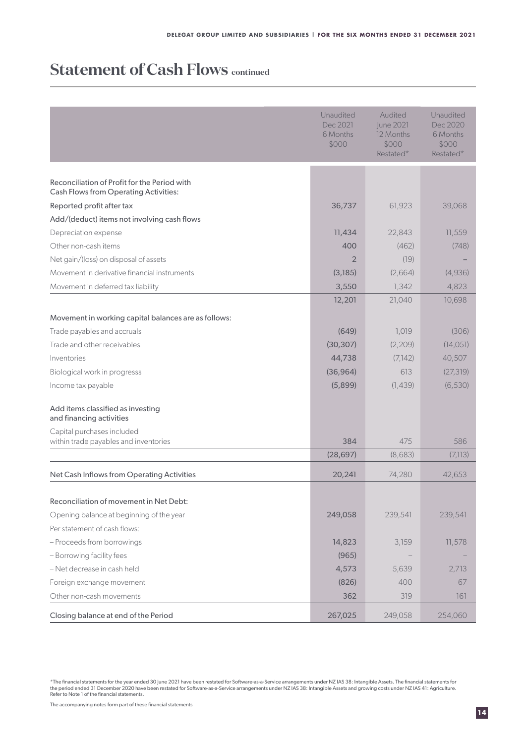### **Statement of Cash Flows continued**

|                                                                     | Unaudited<br>Dec 2021<br>6 Months<br>\$000 | Audited<br>June 2021<br>12 Months<br>\$000<br>Restated* | Unaudited<br>Dec 2020<br>6 Months<br>\$000<br>Restated* |
|---------------------------------------------------------------------|--------------------------------------------|---------------------------------------------------------|---------------------------------------------------------|
| Reconciliation of Profit for the Period with                        |                                            |                                                         |                                                         |
| <b>Cash Flows from Operating Activities:</b>                        |                                            |                                                         |                                                         |
| Reported profit after tax                                           | 36,737                                     | 61,923                                                  | 39,068                                                  |
| Add/(deduct) items not involving cash flows                         |                                            |                                                         |                                                         |
| Depreciation expense                                                | 11,434                                     | 22,843                                                  | 11,559                                                  |
| Other non-cash items                                                | 400                                        | (462)                                                   | (748)                                                   |
| Net gain/(loss) on disposal of assets                               | $\overline{2}$                             | (19)                                                    |                                                         |
| Movement in derivative financial instruments                        | (3,185)                                    | (2,664)                                                 | (4,936)                                                 |
| Movement in deferred tax liability                                  | 3,550                                      | 1,342                                                   | 4,823                                                   |
|                                                                     | 12,201                                     | 21,040                                                  | 10,698                                                  |
| Movement in working capital balances are as follows:                |                                            |                                                         |                                                         |
| Trade payables and accruals                                         | (649)                                      | 1,019                                                   | (306)                                                   |
| Trade and other receivables                                         | (30, 307)                                  | (2, 209)                                                | (14, 051)                                               |
| Inventories                                                         | 44,738                                     | (7,142)                                                 | 40,507                                                  |
| Biological work in progresss                                        | (36, 964)                                  | 613                                                     | (27, 319)                                               |
| Income tax payable                                                  | (5,899)                                    | (1,439)                                                 | (6, 530)                                                |
| Add items classified as investing<br>and financing activities       |                                            |                                                         |                                                         |
| Capital purchases included<br>within trade payables and inventories | 384                                        | 475                                                     | 586                                                     |
|                                                                     | (28, 697)                                  | (8,683)                                                 | (7,113)                                                 |
|                                                                     |                                            |                                                         |                                                         |
| Net Cash Inflows from Operating Activities                          | 20,241                                     | 74,280                                                  | 42,653                                                  |
| Reconciliation of movement in Net Debt:                             |                                            |                                                         |                                                         |
| Opening balance at beginning of the year                            | 249,058                                    | 239,541                                                 | 239,541                                                 |
| Per statement of cash flows:                                        |                                            |                                                         |                                                         |
| - Proceeds from borrowings                                          | 14,823                                     | 3,159                                                   | 11,578                                                  |
| - Borrowing facility fees                                           | (965)                                      |                                                         |                                                         |
| - Net decrease in cash held                                         | 4,573                                      | 5,639                                                   | 2,713                                                   |
| Foreign exchange movement                                           | (826)                                      | 400                                                     | 67                                                      |
| Other non-cash movements                                            | 362                                        | 319                                                     | 161                                                     |
| Closing balance at end of the Period                                | 267,025                                    | 249,058                                                 | 254,060                                                 |

\*The financial statements for the year ended 30 June 2021 have been restated for Software-as-a-Service arrangements under NZ IAS 38: Intangible Assets. The financial statements for<br>the period ended 31 December 2020 have be

The accompanying notes form part of these financial statements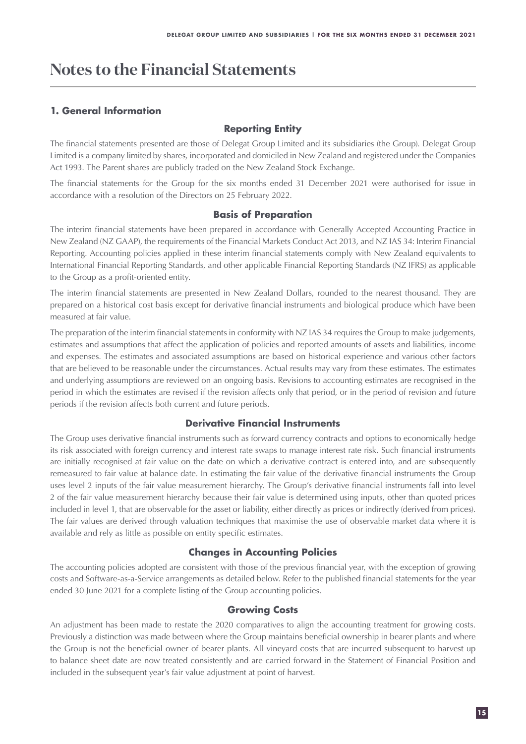### **Notes to the Financial Statements**

### **1. General Information**

#### **Reporting Entity**

The financial statements presented are those of Delegat Group Limited and its subsidiaries (the Group). Delegat Group Limited is a company limited by shares, incorporated and domiciled in New Zealand and registered under the Companies Act 1993. The Parent shares are publicly traded on the New Zealand Stock Exchange.

The financial statements for the Group for the six months ended 31 December 2021 were authorised for issue in accordance with a resolution of the Directors on 25 February 2022.

#### **Basis of Preparation**

The interim financial statements have been prepared in accordance with Generally Accepted Accounting Practice in New Zealand (NZ GAAP), the requirements of the Financial Markets Conduct Act 2013, and NZ IAS 34: Interim Financial Reporting. Accounting policies applied in these interim financial statements comply with New Zealand equivalents to International Financial Reporting Standards, and other applicable Financial Reporting Standards (NZ IFRS) as applicable to the Group as a profit-oriented entity.

The interim financial statements are presented in New Zealand Dollars, rounded to the nearest thousand. They are prepared on a historical cost basis except for derivative financial instruments and biological produce which have been measured at fair value.

The preparation of the interim financial statements in conformity with NZ IAS 34 requires the Group to make judgements, estimates and assumptions that affect the application of policies and reported amounts of assets and liabilities, income and expenses. The estimates and associated assumptions are based on historical experience and various other factors that are believed to be reasonable under the circumstances. Actual results may vary from these estimates. The estimates and underlying assumptions are reviewed on an ongoing basis. Revisions to accounting estimates are recognised in the period in which the estimates are revised if the revision affects only that period, or in the period of revision and future periods if the revision affects both current and future periods.

#### **Derivative Financial Instruments**

The Group uses derivative financial instruments such as forward currency contracts and options to economically hedge its risk associated with foreign currency and interest rate swaps to manage interest rate risk. Such financial instruments are initially recognised at fair value on the date on which a derivative contract is entered into, and are subsequently remeasured to fair value at balance date. In estimating the fair value of the derivative financial instruments the Group uses level 2 inputs of the fair value measurement hierarchy. The Group's derivative financial instruments fall into level 2 of the fair value measurement hierarchy because their fair value is determined using inputs, other than quoted prices included in level 1, that are observable for the asset or liability, either directly as prices or indirectly (derived from prices). The fair values are derived through valuation techniques that maximise the use of observable market data where it is available and rely as little as possible on entity specific estimates.

#### **Changes in Accounting Policies**

The accounting policies adopted are consistent with those of the previous financial year, with the exception of growing costs and Software-as-a-Service arrangements as detailed below. Refer to the published financial statements for the year ended 30 June 2021 for a complete listing of the Group accounting policies.

#### **Growing Costs**

An adjustment has been made to restate the 2020 comparatives to align the accounting treatment for growing costs. Previously a distinction was made between where the Group maintains beneficial ownership in bearer plants and where the Group is not the beneficial owner of bearer plants. All vineyard costs that are incurred subsequent to harvest up to balance sheet date are now treated consistently and are carried forward in the Statement of Financial Position and included in the subsequent year's fair value adjustment at point of harvest.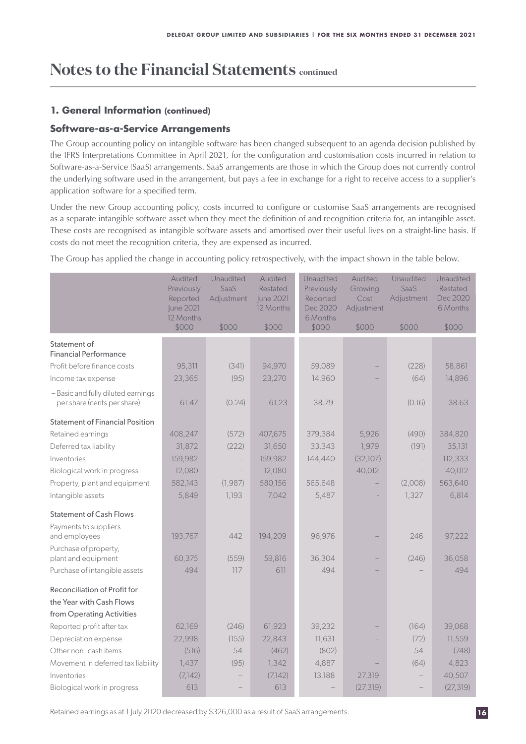#### **1. General Information (continued)**

#### **Software-as-a-Service Arrangements**

The Group accounting policy on intangible software has been changed subsequent to an agenda decision published by the IFRS Interpretations Committee in April 2021, for the configuration and customisation costs incurred in relation to Software-as-a-Service (SaaS) arrangements. SaaS arrangements are those in which the Group does not currently control the underlying software used in the arrangement, but pays a fee in exchange for a right to receive access to a supplier's application software for a specified term.

Under the new Group accounting policy, costs incurred to configure or customise SaaS arrangements are recognised as a separate intangible software asset when they meet the definition of and recognition criteria for, an intangible asset. These costs are recognised as intangible software assets and amortised over their useful lives on a straight-line basis. If costs do not meet the recognition criteria, they are expensed as incurred.

The Group has applied the change in accounting policy retrospectively, with the impact shown in the table below.

|                                                                   | Audited<br>Previously<br>Reported<br>June 2021<br>12 Months | Unaudited<br>SaaS<br>Adjustment | Audited<br>Restated<br>June 2021<br>12 Months | Unaudited<br>Previously<br>Reported<br>Dec 2020<br>6 Months | Audited<br>Growing<br>Cost<br>Adjustment | Unaudited<br>SaaS<br>Adjustment | Unaudited<br>Restated<br>Dec 2020<br>6 Months |
|-------------------------------------------------------------------|-------------------------------------------------------------|---------------------------------|-----------------------------------------------|-------------------------------------------------------------|------------------------------------------|---------------------------------|-----------------------------------------------|
|                                                                   | \$000                                                       | \$000                           | \$000                                         | \$000                                                       | \$000                                    | \$000                           | \$000                                         |
| Statement of<br><b>Financial Performance</b>                      |                                                             |                                 |                                               |                                                             |                                          |                                 |                                               |
| Profit before finance costs                                       | 95,311                                                      | (341)                           | 94,970                                        | 59,089                                                      |                                          | (228)                           | 58,861                                        |
| Income tax expense                                                | 23,365                                                      | (95)                            | 23,270                                        | 14,960                                                      |                                          | (64)                            | 14,896                                        |
| - Basic and fully diluted earnings<br>per share (cents per share) | 61.47                                                       | (0.24)                          | 61.23                                         | 38.79                                                       |                                          | (0.16)                          | 38.63                                         |
| <b>Statement of Financial Position</b>                            |                                                             |                                 |                                               |                                                             |                                          |                                 |                                               |
| Retained earnings                                                 | 408,247                                                     | (572)                           | 407,675                                       | 379,384                                                     | 5,926                                    | (490)                           | 384,820                                       |
| Deferred tax liability                                            | 31,872                                                      | (222)                           | 31,650                                        | 33,343                                                      | 1,979                                    | (191)                           | 35,131                                        |
| Inventories                                                       | 159,982                                                     |                                 | 159,982                                       | 144,440                                                     | (32,107)                                 |                                 | 112,333                                       |
| Biological work in progress                                       | 12,080                                                      |                                 | 12,080                                        |                                                             | 40,012                                   |                                 | 40,012                                        |
| Property, plant and equipment                                     | 582,143                                                     | (1, 987)                        | 580,156                                       | 565,648                                                     |                                          | (2,008)                         | 563,640                                       |
| Intangible assets                                                 | 5,849                                                       | 1,193                           | 7,042                                         | 5,487                                                       |                                          | 1,327                           | 6,814                                         |
| <b>Statement of Cash Flows</b>                                    |                                                             |                                 |                                               |                                                             |                                          |                                 |                                               |
| Payments to suppliers                                             |                                                             |                                 |                                               |                                                             |                                          |                                 |                                               |
| and employees                                                     | 193,767                                                     | 442                             | 194,209                                       | 96,976                                                      |                                          | 246                             | 97,222                                        |
| Purchase of property,                                             |                                                             |                                 |                                               |                                                             |                                          |                                 |                                               |
| plant and equipment                                               | 60,375                                                      | (559)                           | 59,816                                        | 36,304                                                      |                                          | (246)                           | 36,058                                        |
| Purchase of intangible assets                                     | 494                                                         | 117                             | 611                                           | 494                                                         |                                          |                                 | 494                                           |
| Reconciliation of Profit for<br>the Year with Cash Flows          |                                                             |                                 |                                               |                                                             |                                          |                                 |                                               |
| from Operating Activities                                         |                                                             |                                 |                                               |                                                             |                                          |                                 |                                               |
| Reported profit after tax                                         | 62,169                                                      | (246)                           | 61,923                                        | 39,232                                                      |                                          | (164)                           | 39,068                                        |
| Depreciation expense                                              | 22,998                                                      | (155)                           | 22,843                                        | 11,631                                                      |                                          | (72)                            | 11,559                                        |
| Other non-cash items                                              | (516)                                                       | 54                              | (462)                                         | (802)                                                       |                                          | 54                              | (748)                                         |
| Movement in deferred tax liability                                | 1,437                                                       | (95)                            | 1,342                                         | 4,887                                                       |                                          | (64)                            | 4,823                                         |
| Inventories                                                       | (7,142)                                                     |                                 | (7,142)                                       | 13,188                                                      | 27,319                                   |                                 | 40,507                                        |
| Biological work in progress                                       | 613                                                         |                                 | 613                                           |                                                             | (27, 319)                                |                                 | (27, 319)                                     |

Retained earnings as at 1 July 2020 decreased by \$326,000 as a result of SaaS arrangements.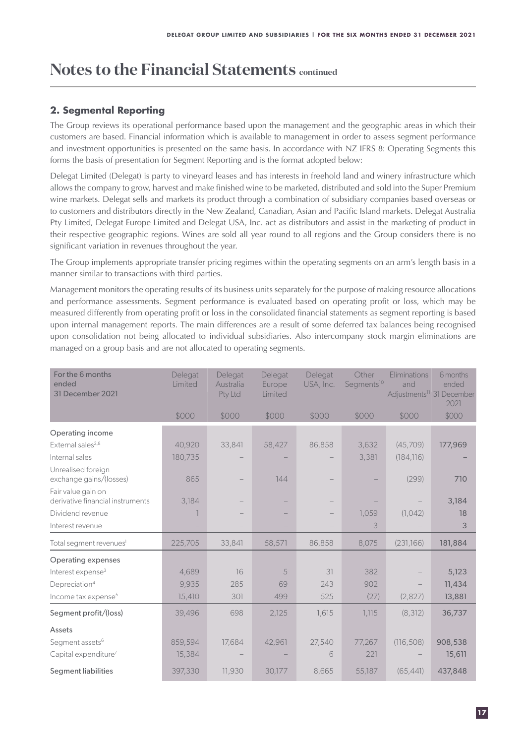#### **2. Segmental Reporting**

The Group reviews its operational performance based upon the management and the geographic areas in which their customers are based. Financial information which is available to management in order to assess segment performance and investment opportunities is presented on the same basis. In accordance with NZ IFRS 8: Operating Segments this forms the basis of presentation for Segment Reporting and is the format adopted below:

Delegat Limited (Delegat) is party to vineyard leases and has interests in freehold land and winery infrastructure which allows the company to grow, harvest and make finished wine to be marketed, distributed and sold into the Super Premium wine markets. Delegat sells and markets its product through a combination of subsidiary companies based overseas or to customers and distributors directly in the New Zealand, Canadian, Asian and Pacific Island markets. Delegat Australia Pty Limited, Delegat Europe Limited and Delegat USA, Inc. act as distributors and assist in the marketing of product in their respective geographic regions. Wines are sold all year round to all regions and the Group considers there is no significant variation in revenues throughout the year.

The Group implements appropriate transfer pricing regimes within the operating segments on an arm's length basis in a manner similar to transactions with third parties.

Management monitors the operating results of its business units separately for the purpose of making resource allocations and performance assessments. Segment performance is evaluated based on operating profit or loss, which may be measured differently from operating profit or loss in the consolidated financial statements as segment reporting is based upon internal management reports. The main differences are a result of some deferred tax balances being recognised upon consolidation not being allocated to individual subsidiaries. Also intercompany stock margin eliminations are managed on a group basis and are not allocated to operating segments.

| For the 6 months<br>ended<br>31 December 2021          | Delegat<br>Limited | Delegat<br>Australia<br>Pty Ltd | Delegat<br>Europe<br>Limited | Delegat<br>USA, Inc. | Other<br>Segments <sup>10</sup> | Eliminations<br>and<br>Adjustments <sup>11</sup> 31 December | 6 months<br>ended<br>2021 |
|--------------------------------------------------------|--------------------|---------------------------------|------------------------------|----------------------|---------------------------------|--------------------------------------------------------------|---------------------------|
|                                                        | \$000              | \$000                           | \$000                        | \$000                | \$000                           | \$000                                                        | \$000                     |
| Operating income                                       |                    |                                 |                              |                      |                                 |                                                              |                           |
| External sales <sup>2,8</sup>                          | 40,920             | 33,841                          | 58,427                       | 86,858               | 3,632                           | (45,709)                                                     | 177,969                   |
| Internal sales                                         | 180,735            |                                 |                              |                      | 3,381                           | (184, 116)                                                   |                           |
| Unrealised foreign<br>exchange gains/(losses)          | 865                |                                 | 144                          |                      |                                 | (299)                                                        | 710                       |
| Fair value gain on<br>derivative financial instruments | 3,184              |                                 |                              |                      |                                 |                                                              | 3,184                     |
| Dividend revenue                                       |                    |                                 |                              |                      | 1,059                           | (1,042)                                                      | 18                        |
| Interest revenue                                       |                    |                                 |                              |                      | 3                               |                                                              | 3                         |
| Total segment revenues <sup>1</sup>                    | 225,705            | 33,841                          | 58,571                       | 86,858               | 8,075                           | (231,166)                                                    | 181,884                   |
| <b>Operating expenses</b>                              |                    |                                 |                              |                      |                                 |                                                              |                           |
| Interest expense <sup>3</sup>                          | 4,689              | 16                              | 5                            | 31                   | 382                             |                                                              | 5,123                     |
| Depreciation <sup>4</sup>                              | 9,935              | 285                             | 69                           | 243                  | 902                             |                                                              | 11,434                    |
| Income tax expense <sup>5</sup>                        | 15,410             | 301                             | 499                          | 525                  | (27)                            | (2,827)                                                      | 13,881                    |
| Segment profit/(loss)                                  | 39,496             | 698                             | 2,125                        | 1,615                | 1,115                           | (8, 312)                                                     | 36,737                    |
| Assets                                                 |                    |                                 |                              |                      |                                 |                                                              |                           |
| Segment assets <sup>6</sup>                            | 859,594            | 17,684                          | 42,961                       | 27,540               | 77,267                          | (116, 508)                                                   | 908,538                   |
| Capital expenditure <sup>7</sup>                       | 15,384             |                                 |                              | 6                    | 221                             |                                                              | 15,611                    |
| <b>Segment liabilities</b>                             | 397,330            | 11,930                          | 30,177                       | 8,665                | 55,187                          | (65, 441)                                                    | 437,848                   |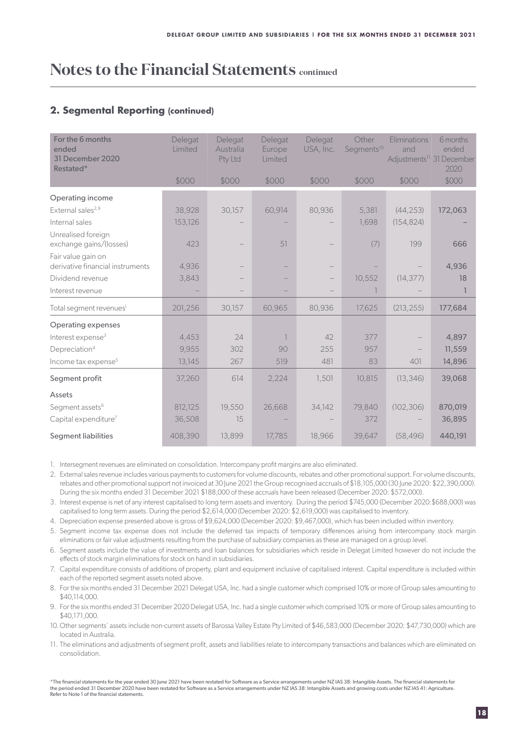#### **2. Segmental Reporting (continued)**

| For the 6 months<br>ended<br>31 December 2020<br>Restated* | Delegat<br>Limited | Delegat<br>Australia<br>Pty Ltd | Delegat<br>Europe<br>Limited | Delegat<br>USA, Inc. | Other<br>Segments <sup>10</sup> | Eliminations<br>and | 6 months<br>ended<br>Adjustments <sup>11</sup> 31 December<br>2020 |
|------------------------------------------------------------|--------------------|---------------------------------|------------------------------|----------------------|---------------------------------|---------------------|--------------------------------------------------------------------|
|                                                            | \$000              | \$000                           | \$000                        | \$000                | \$000                           | \$000               | \$000                                                              |
| Operating income                                           |                    |                                 |                              |                      |                                 |                     |                                                                    |
| External sales <sup>2,9</sup>                              | 38,928             | 30,157                          | 60,914                       | 80,936               | 5,381                           | (44, 253)           | 172,063                                                            |
| Internal sales                                             | 153,126            |                                 |                              |                      | 1,698                           | (154, 824)          |                                                                    |
| Unrealised foreign<br>exchange gains/(losses)              | 423                |                                 | 51                           |                      | (7)                             | 199                 | 666                                                                |
| Fair value gain on<br>derivative financial instruments     | 4,936              |                                 |                              |                      |                                 |                     | 4,936                                                              |
| Dividend revenue                                           | 3,843              |                                 |                              |                      | 10,552                          | (14, 377)           | 18                                                                 |
| Interest revenue                                           |                    |                                 |                              |                      |                                 |                     |                                                                    |
| Total segment revenues <sup>1</sup>                        | 201,256            | 30,157                          | 60,965                       | 80,936               | 17,625                          | (213, 255)          | 177,684                                                            |
| Operating expenses                                         |                    |                                 |                              |                      |                                 |                     |                                                                    |
| Interest expense <sup>3</sup>                              | 4,453              | 24                              | $\overline{1}$               | 42                   | 377                             |                     | 4,897                                                              |
| Depreciation <sup>4</sup>                                  | 9,955              | 302                             | 90                           | 255                  | 957                             |                     | 11,559                                                             |
| Income tax expense <sup>5</sup>                            | 13,145             | 267                             | 519                          | 481                  | 83                              | 401                 | 14,896                                                             |
| Segment profit                                             | 37,260             | 614                             | 2,224                        | 1,501                | 10,815                          | (13, 346)           | 39,068                                                             |
| Assets                                                     |                    |                                 |                              |                      |                                 |                     |                                                                    |
| Segment assets <sup>6</sup>                                | 812,125            | 19,550                          | 26,668                       | 34,142               | 79,840                          | (102, 306)          | 870,019                                                            |
| Capital expenditure <sup>7</sup>                           | 36,508             | 15                              |                              |                      | 372                             |                     | 36,895                                                             |
| <b>Segment liabilities</b>                                 | 408,390            | 13,899                          | 17,785                       | 18,966               | 39,647                          | (58, 496)           | 440,191                                                            |

1. Intersegment revenues are eliminated on consolidation. Intercompany profit margins are also eliminated.

2. External sales revenue includes various payments to customers for volume discounts, rebates and other promotional support. For volume discounts, rebates and other promotional support not invoiced at 30 June 2021 the Group recognised accruals of \$18,105,000 (30 June 2020: \$22,390,000). During the six months ended 31 December 2021 \$188,000 of these accruals have been released (December 2020: \$572,000).

3. Interest expense is net of any interest capitalised to long term assets and inventory. During the period \$745,000 (December 2020:\$688,000) was capitalised to long term assets. During the period \$2,614,000 (December 2020: \$2,619,000) was capitalised to inventory.

4. Depreciation expense presented above is gross of \$9,624,000 (December 2020: \$9,467,000), which has been included within inventory.

5. Segment income tax expense does not include the deferred tax impacts of temporary differences arising from intercompany stock margin eliminations or fair value adjustments resulting from the purchase of subsidiary companies as these are managed on a group level.

- 6. Segment assets include the value of investments and loan balances for subsidiaries which reside in Delegat Limited however do not include the effects of stock margin eliminations for stock on hand in subsidiaries.
- 7. Capital expenditure consists of additions of property, plant and equipment inclusive of capitalised interest. Capital expenditure is included within each of the reported segment assets noted above.

8. For the six months ended 31 December 2021 Delegat USA, Inc. had a single customer which comprised 10% or more of Group sales amounting to \$40,114,000.

- 9. For the six months ended 31 December 2020 Delegat USA, Inc. had a single customer which comprised 10% or more of Group sales amounting to \$40,171,000.
- 10. Other segments' assets include non-current assets of Barossa Valley Estate Pty Limited of \$46,583,000 (December 2020: \$47,730,000) which are located in Australia.
- 11. The eliminations and adjustments of segment profit, assets and liabilities relate to intercompany transactions and balances which are eliminated on consolidation.

\*The financial statements for the year ended 30 June 2021 have been restated for Software as a Service arrangements under NZ IAS 38: Intangible Assets. The financial statements for<br>the period ended 31 December 2020 have be Refer to Note 1 of the financial statements.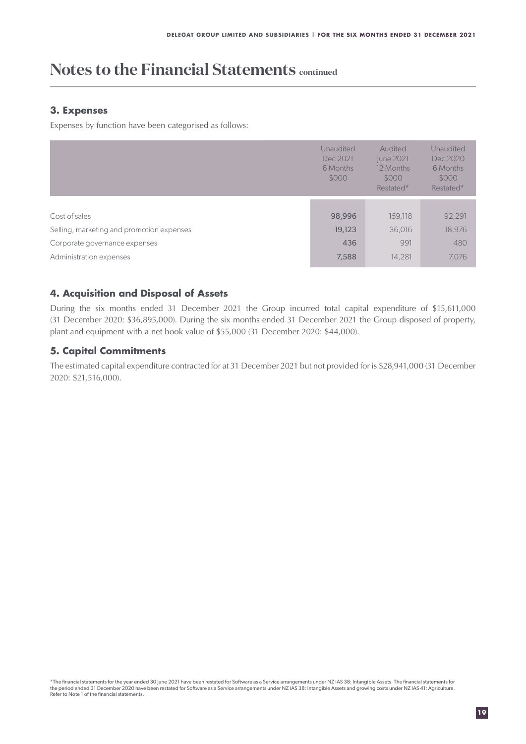#### **3. Expenses**

Expenses by function have been categorised as follows:

|                                           | Unaudited<br>Dec 2021<br>6 Months<br>\$000 | Audited<br>June 2021<br>12 Months<br>\$000<br>Restated* | Unaudited<br>Dec 2020<br>6 Months<br>\$000<br>Restated* |
|-------------------------------------------|--------------------------------------------|---------------------------------------------------------|---------------------------------------------------------|
|                                           |                                            |                                                         |                                                         |
| Cost of sales                             | 98,996                                     | 159,118                                                 | 92,291                                                  |
| Selling, marketing and promotion expenses | 19,123                                     | 36,016                                                  | 18,976                                                  |
| Corporate governance expenses             | 436                                        | 991                                                     | 480                                                     |
| Administration expenses                   | 7,588                                      | 14,281                                                  | 7,076                                                   |

#### **4. Acquisition and Disposal of Assets**

During the six months ended 31 December 2021 the Group incurred total capital expenditure of \$15,611,000 (31 December 2020: \$36,895,000). During the six months ended 31 December 2021 the Group disposed of property, plant and equipment with a net book value of \$55,000 (31 December 2020: \$44,000).

#### **5. Capital Commitments**

The estimated capital expenditure contracted for at 31 December 2021 but not provided for is \$28,941,000 (31 December 2020: \$21,516,000).

\*The financial statements for the year ended 30 June 2021 have been restated for Software as a Service arrangements under NZ IAS 38: Intangible Assets. The financial statements for<br>the period ended 31 December 2020 have be Refer to Note 1 of the financial statements.